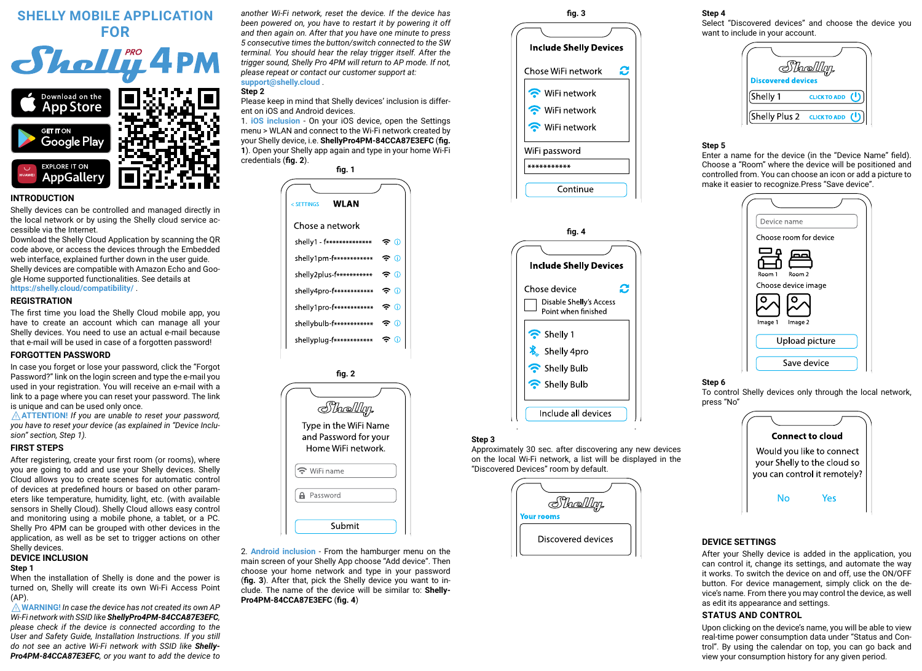# **SHELLY MOBILE APPLICATION FOR**



# **INTRODUCTION**

Shelly devices can be controlled and managed directly in the local network or by using the Shelly cloud service accessible via the Internet.

Download the Shelly Cloud Application by scanning the QR code above, or access the devices through the Embedded web interface, explained further down in the user quide. Shelly devices are compatible with Amazon Echo and Google Home supported functionalities. See details at **https://shelly.cloud/compatibility/** .

## **REGISTRATION**

The first time you load the Shelly Cloud mobile app, you have to create an account which can manage all your Shelly devices. You need to use an actual e-mail because that e-mail will be used in case of а forgotten password!

#### **FORGOTTEN PASSWORD**

In case you forget or lose your password, click the "Forgot Password?" link on the login screen and type the e-mail you used in your registration. You will receive an e-mail with а link to а page where you can reset your password. The link is unique and can be used only once.

⚠**ATTENTION!** *If you are unable to reset your password, you have to reset your device (as explained in "Device Inclusion" section, Step 1).* 

## **FIRST STEPS**

After registering, create your first room (or rooms), where you are going to add and use your Shelly devices. Shelly Cloud allows you to create scenes for automatic control of devices at predefined hours or based on other parameters like temperature, humidity, light, etc. (with available sensors in Shelly Cloud). Shelly Cloud allows easy control and monitoring using a mobile phone, а tablet, or a PC. Shelly Pro 4PM can be grouped with other devices in the application, as well as be set to trigger actions on other Shelly devices.

# **DEVICE INCLUSION**

## **Step 1**

When the installation of Shelly is done and the power is turned on, Shelly will create its own Wi-Fi Access Point  $(AP)$ 

⚠**WARNING!** *In case the device has not created its own AP Wi-Fi network with SSID like ShellyPro4PM-84CCA87E3EFC, please check if the device is connected according to the User and Safety Guide, Installation Instructions. If you still do not see an active Wi-Fi network with SSID like Shelly-Pro4PM-84CCA87E3EFC, or you want to add the device to*  *another Wi-Fi network, reset the device. If the device has been powered on, you have to restart it by powering it off and then again on. After that you have one minute to press 5 consecutive times the button/switch connected to the SW terminal. You should hear the relay trigger itself. After the trigger sound, Shelly Pro 4PM will return to AP mode. If not, please repeat or contact our customer support at:* **support@shelly.cloud** .

# **Step 2**

Please keep in mind that Shelly devices' inclusion is different on iOS and Android devices.

1. **iOS inclusion** - On your iOS device, open the Settings menu > WLAN and connect to the Wi-Fi network created by your Shelly device, i.e. **ShellyPro4PM-84CCA87E3EFC** (**fig. 1**). Open your Shelly app again and type in your home Wi-Fi credentials (**fig. 2**).

| fia. 1 |                                                    |  |
|--------|----------------------------------------------------|--|
|        |                                                    |  |
|        | WLAN<br>< SETTINGS                                 |  |
|        | Chose a network                                    |  |
|        | ÷ ©<br>shelv1 - f**************                    |  |
|        | ඳ ග<br>she v1pm-f************                      |  |
|        | $\widehat{\mathbf{r}}$<br>shelly2plus-f*********** |  |
|        | କ ⊕<br>she v4pro-f************                     |  |
|        | ල ග<br>shelly1pro-f************                    |  |
|        | ÷Ω<br>she vbulb f************                      |  |
|        | đ<br>shellyplug-f************                      |  |
|        |                                                    |  |



2. **Android inclusion** - From the hamburger menu on the main screen of your Shelly App choose "Add device". Then choose your home network and type in your password (**fig. 3**). After that, pick the Shelly device you want to include. The name of the device will be similar to: **Shelly-Pro4PM-84CCA87E3EFC** (**fig. 4**)





### **Step 3**

Approximately 30 sec. after discovering any new devices оn the local Wi-Fi network, а list will be displayed in the "Discovered Devices" room by default.



# **Step 4**

Select "Discovered devices" and choose the device you want to include in your account.



#### **Step 5**

Enter a name for the device (in the "Device Name" field). Choose a "Room" where the device will be positioned and controlled from. You can choose an icon or add a picture to make it easier to recognize.Press "Save device".



# **Step 6**

To control Shelly devices only through the local network, press "No"



## **DEVICE SETTINGS**

After your Shelly device is added in the application, you can control it, change its settings, and automate the way it works. To switch the device on and off, use the ON/OFF button. For device management, simply click on the device's name. From there you may control the device, as well as edit its appearance and settings.

#### **STATUS AND CONTROL**

Upon clicking on the device's name, you will be able to view real-time power consumption data under "Status and Control". By using the calendar on top, you can go back and view your consumption history for any given period.